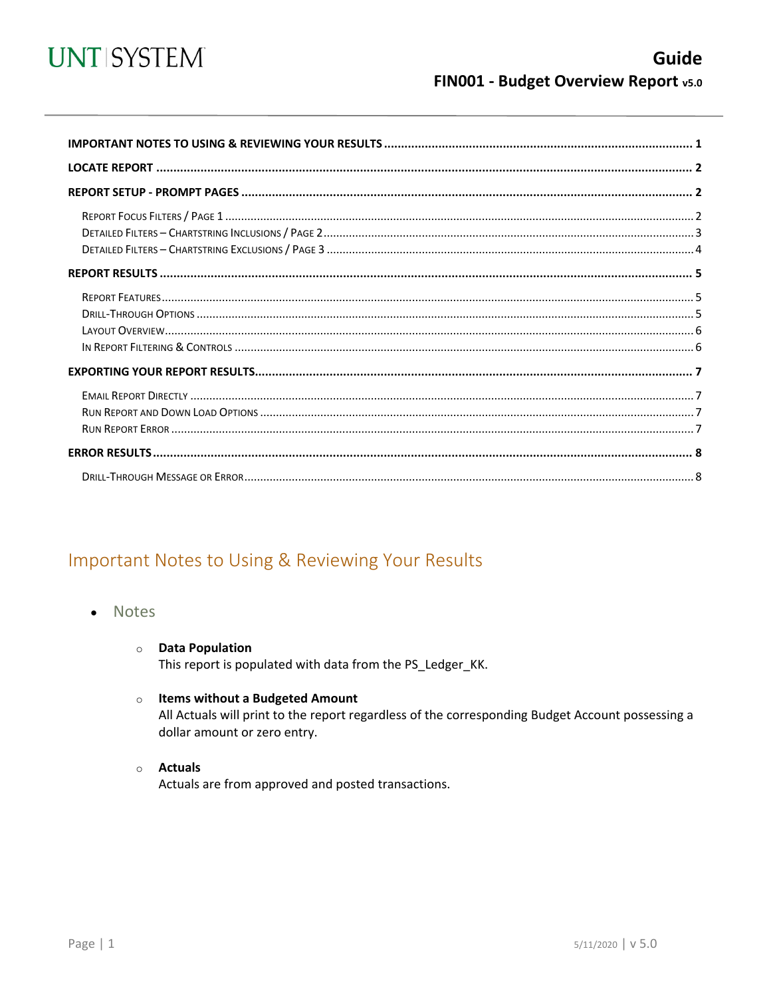

<span id="page-0-0"></span>

# Important Notes to Using & Reviewing Your Results

- **Notes**  $\bullet$ 
	- **O** Data Population This report is populated with data from the PS\_Ledger\_KK.
	- o Items without a Budgeted Amount

All Actuals will print to the report regardless of the corresponding Budget Account possessing a dollar amount or zero entry.

o **Actuals** 

Actuals are from approved and posted transactions.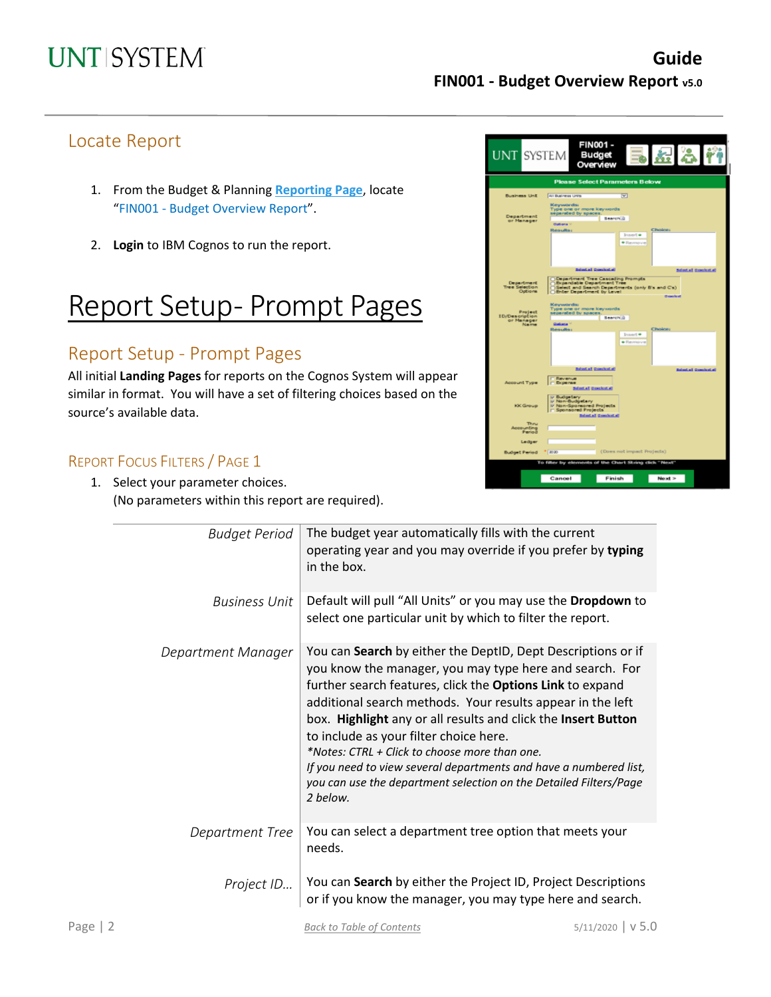## Locate Report

- 1. From the Budget & Planning **[Reporting Page](https://finance.untsystem.edu/reporting)**, locate "FIN001 - Budget Overview Report".
- 2. **Login** to IBM Cognos to run the report.

# Report Setup- Prompt Pages

## Report Setup - Prompt Pages

All initial **Landing Pages** for reports on the Cognos System will appear similar in format. You will have a set of filtering choices based on the source's available data.

## REPORT FOCUS FILTERS / PAGE 1

1. Select your parameter choices. (No parameters within this report are required).



| <b>Budget Period</b> | The budget year automatically fills with the current<br>operating year and you may override if you prefer by typing<br>in the box.                                                                                                                                                                                                                                                                                                                                                                                                                                   |
|----------------------|----------------------------------------------------------------------------------------------------------------------------------------------------------------------------------------------------------------------------------------------------------------------------------------------------------------------------------------------------------------------------------------------------------------------------------------------------------------------------------------------------------------------------------------------------------------------|
| <b>Business Unit</b> | Default will pull "All Units" or you may use the Dropdown to<br>select one particular unit by which to filter the report.                                                                                                                                                                                                                                                                                                                                                                                                                                            |
| Department Manager   | You can Search by either the DeptID, Dept Descriptions or if<br>you know the manager, you may type here and search. For<br>further search features, click the Options Link to expand<br>additional search methods. Your results appear in the left<br>box. Highlight any or all results and click the Insert Button<br>to include as your filter choice here.<br>*Notes: CTRL + Click to choose more than one.<br>If you need to view several departments and have a numbered list,<br>you can use the department selection on the Detailed Filters/Page<br>2 below. |
| Department Tree      | You can select a department tree option that meets your<br>needs.                                                                                                                                                                                                                                                                                                                                                                                                                                                                                                    |
| Project ID           | You can Search by either the Project ID, Project Descriptions<br>or if you know the manager, you may type here and search.                                                                                                                                                                                                                                                                                                                                                                                                                                           |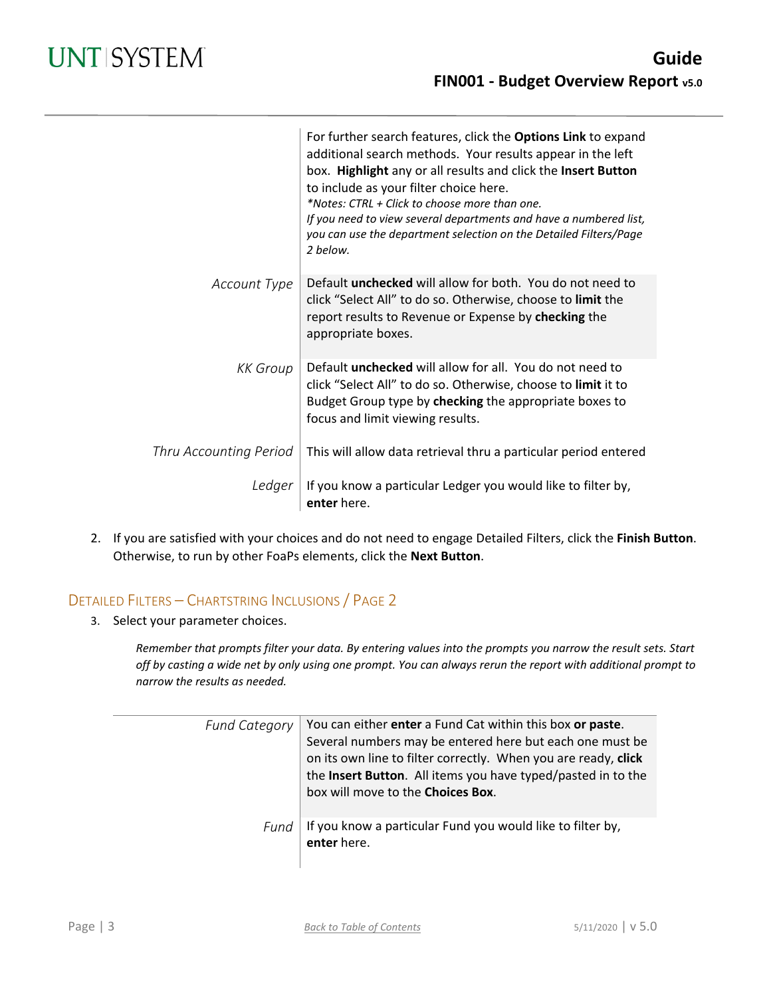|                        | For further search features, click the Options Link to expand<br>additional search methods. Your results appear in the left<br>box. Highlight any or all results and click the Insert Button<br>to include as your filter choice here.<br>*Notes: CTRL + Click to choose more than one.<br>If you need to view several departments and have a numbered list,<br>you can use the department selection on the Detailed Filters/Page<br>2 helow. |
|------------------------|-----------------------------------------------------------------------------------------------------------------------------------------------------------------------------------------------------------------------------------------------------------------------------------------------------------------------------------------------------------------------------------------------------------------------------------------------|
| Account Type           | Default <b>unchecked</b> will allow for both. You do not need to<br>click "Select All" to do so. Otherwise, choose to limit the<br>report results to Revenue or Expense by checking the<br>appropriate boxes.                                                                                                                                                                                                                                 |
| <b>KK</b> Group        | Default <b>unchecked</b> will allow for all. You do not need to<br>click "Select All" to do so. Otherwise, choose to limit it to<br>Budget Group type by checking the appropriate boxes to<br>focus and limit viewing results.                                                                                                                                                                                                                |
| Thru Accounting Period | This will allow data retrieval thru a particular period entered                                                                                                                                                                                                                                                                                                                                                                               |
| Ledger                 | If you know a particular Ledger you would like to filter by,<br>enter here.                                                                                                                                                                                                                                                                                                                                                                   |

2. If you are satisfied with your choices and do not need to engage Detailed Filters, click the **Finish Button**. Otherwise, to run by other FoaPs elements, click the **Next Button**.

## DETAILED FILTERS – CHARTSTRING INCLUSIONS / PAGE 2

3. Select your parameter choices.

*Remember that prompts filter your data. By entering values into the prompts you narrow the result sets. Start off by casting a wide net by only using one prompt. You can always rerun the report with additional prompt to narrow the results as needed.*

| <b>Fund Category</b> | You can either enter a Fund Cat within this box or paste.<br>Several numbers may be entered here but each one must be<br>on its own line to filter correctly. When you are ready, click<br>the Insert Button. All items you have typed/pasted in to the<br>box will move to the Choices Box. |
|----------------------|----------------------------------------------------------------------------------------------------------------------------------------------------------------------------------------------------------------------------------------------------------------------------------------------|
| Fund                 | If you know a particular Fund you would like to filter by,<br>enter here.                                                                                                                                                                                                                    |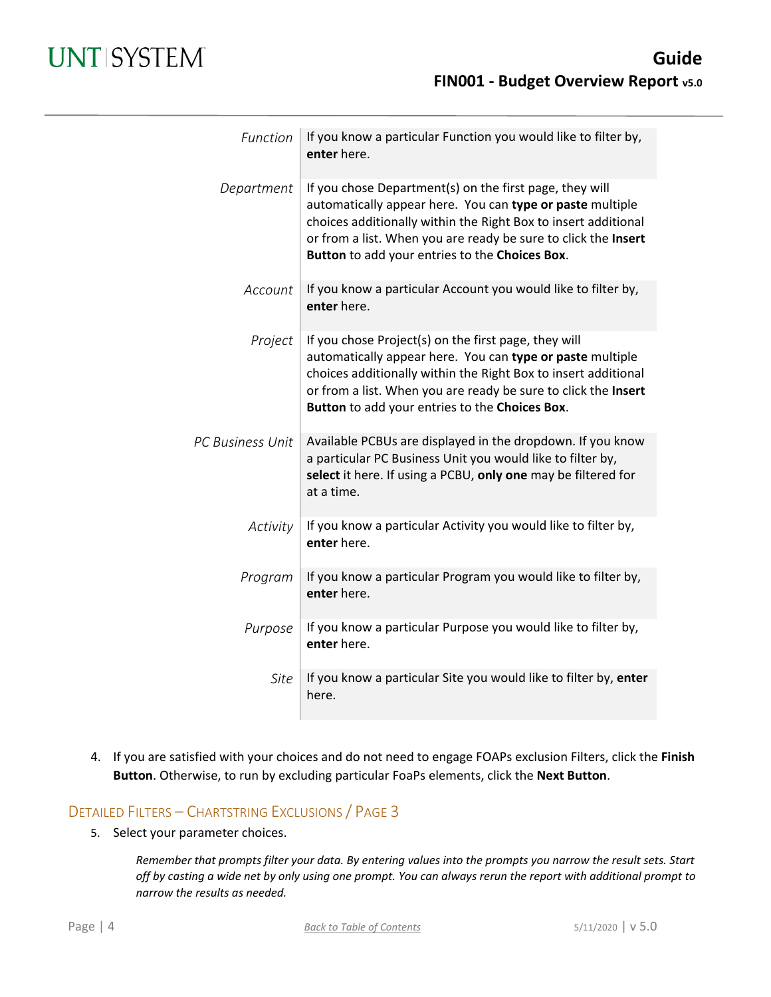| Function         | If you know a particular Function you would like to filter by,<br>enter here.                                                                                                                                                                                                                              |
|------------------|------------------------------------------------------------------------------------------------------------------------------------------------------------------------------------------------------------------------------------------------------------------------------------------------------------|
| Department       | If you chose Department(s) on the first page, they will<br>automatically appear here. You can type or paste multiple<br>choices additionally within the Right Box to insert additional<br>or from a list. When you are ready be sure to click the Insert<br>Button to add your entries to the Choices Box. |
| Account          | If you know a particular Account you would like to filter by,<br>enter here.                                                                                                                                                                                                                               |
| Project          | If you chose Project(s) on the first page, they will<br>automatically appear here. You can type or paste multiple<br>choices additionally within the Right Box to insert additional<br>or from a list. When you are ready be sure to click the Insert<br>Button to add your entries to the Choices Box.    |
| PC Business Unit | Available PCBUs are displayed in the dropdown. If you know<br>a particular PC Business Unit you would like to filter by,<br>select it here. If using a PCBU, only one may be filtered for<br>at a time.                                                                                                    |
| Activity         | If you know a particular Activity you would like to filter by,<br>enter here.                                                                                                                                                                                                                              |
| Program          | If you know a particular Program you would like to filter by,<br>enter here.                                                                                                                                                                                                                               |
| Purpose          | If you know a particular Purpose you would like to filter by,<br>enter here.                                                                                                                                                                                                                               |
| <b>Site</b>      | If you know a particular Site you would like to filter by, enter<br>here.                                                                                                                                                                                                                                  |

4. If you are satisfied with your choices and do not need to engage FOAPs exclusion Filters, click the **Finish Button**. Otherwise, to run by excluding particular FoaPs elements, click the **Next Button**.

### DETAILED FILTERS – CHARTSTRING EXCLUSIONS / PAGE 3

5. Select your parameter choices.

*Remember that prompts filter your data. By entering values into the prompts you narrow the result sets. Start off by casting a wide net by only using one prompt. You can always rerun the report with additional prompt to narrow the results as needed.*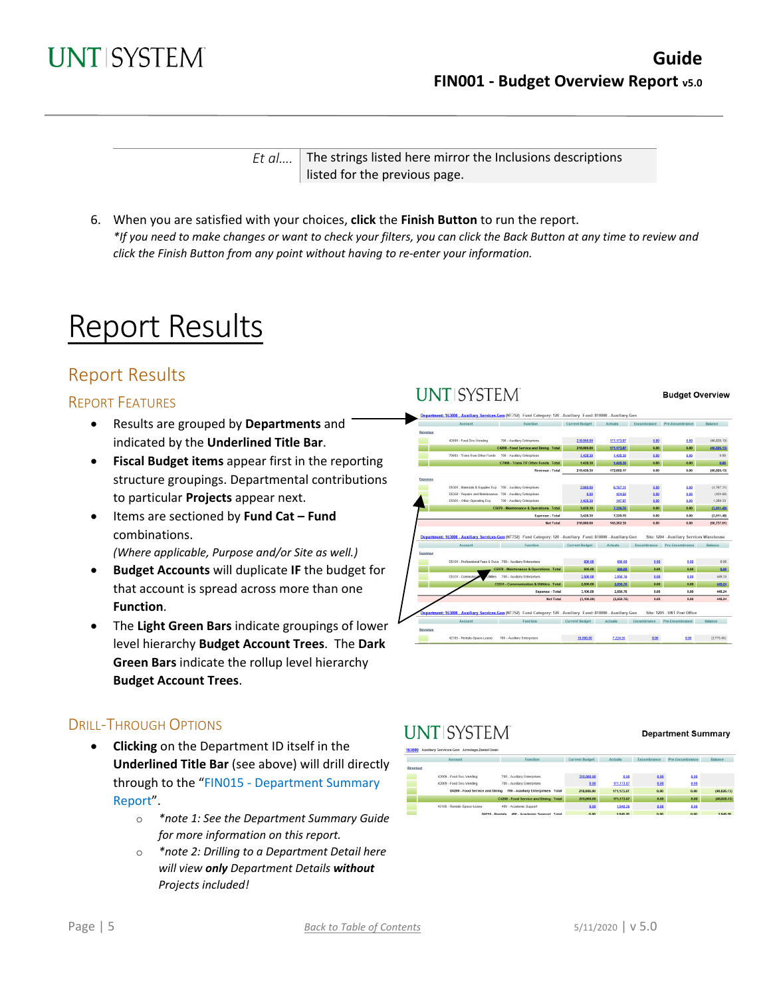

*Et al....* The strings listed here mirror the Inclusions descriptions listed for the previous page.

6. When you are satisfied with your choices, **click** the **Finish Button** to run the report. *\*If you need to make changes or want to check your filters, you can click the Back Button at any time to review and click the Finish Button from any point without having to re-enter your information.*

# Report Results

## Report Results

### REPORT FEATURES

- Results are grouped by **Departments** and indicated by the **Underlined Title Bar**.
- **Fiscal Budget items** appear first in the reporting structure groupings. Departmental contributions to particular **Projects** appear next.
- Items are sectioned by **Fund Cat – Fund** combinations. *(Where applicable, Purpose and/or Site as well.)*
- **Budget Accounts** will duplicate **IF** the budget for that account is spread across more than one **Function**.
- The **Light Green Bars** indicate groupings of lower level hierarchy **Budget Account Trees**. The **Dark Green Bars** indicate the rollup level hierarchy **Budget Account Trees**.

## DRILL-THROUGH OPTIONS

- **Clicking** on the Department ID itself in the **Underlined Title Bar** (see above) will drill directly through to the "FIN015 - Department Summary Report".
	- o *\*note 1: See the Department Summary Guide for more information on this report.*
	- o *\*note 2: Drilling to a Department Detail here will view only Department Details without Projects included!*

## **UNT SYSTEM**

#### **Budget Overview**



# **UNTISYSTEM**

#### **Department Summary**

|         | Account                     | <b>Function</b>                                                   | <b>Current Budget</b> | <b>Actuals</b>                                                                                                 | Encumbrance            | Pre-Encumbrance                                                                                                       | <b>Balance</b>                                                                                                        |
|---------|-----------------------------|-------------------------------------------------------------------|-----------------------|----------------------------------------------------------------------------------------------------------------|------------------------|-----------------------------------------------------------------------------------------------------------------------|-----------------------------------------------------------------------------------------------------------------------|
| tevenue |                             |                                                                   |                       |                                                                                                                |                        |                                                                                                                       |                                                                                                                       |
|         |                             |                                                                   |                       |                                                                                                                |                        |                                                                                                                       |                                                                                                                       |
|         | 42009 - Food Svc-Vending    | 700 - Auxiliary Enterprises                                       | 218,000.00            | 0.00                                                                                                           | 0.00                   | 0.00                                                                                                                  |                                                                                                                       |
|         | 42009 - Food Svc-Vending    | 700 - Auxiliary Enterprises                                       | 0.00                  | 171, 173.87                                                                                                    | 0.00                   | 0.00                                                                                                                  |                                                                                                                       |
|         |                             | D4200 - Food Service and Dining 700 - Auxiliary Enterprises Total | 218,000.00            | 171,173,87                                                                                                     | 0.00                   | 0.00                                                                                                                  | (46, 826, 13)                                                                                                         |
|         |                             | C4200 - Food Service and Dining Total                             | 218,000.00            | 171,173,87                                                                                                     | 0.00                   | 0.00                                                                                                                  | (46, 826, 13)                                                                                                         |
|         | 42105 - Rentals-Space-Lease | 400 - Academic Support                                            | 0.00                  | 1,948.26                                                                                                       | 0.00                   | 0.00                                                                                                                  |                                                                                                                       |
|         |                             |                                                                   | <b>CONTRACTOR</b>     | and the state of the state of the state of the state of the state of the state of the state of the state of th | <b>Service Service</b> | <b>Contract Contract Contract Contract Contract Contract Contract Contract Contract Contract Contract Contract Co</b> | <b>Contract Contract Contract Contract Contract Contract Contract Contract Contract Contract Contract Contract Co</b> |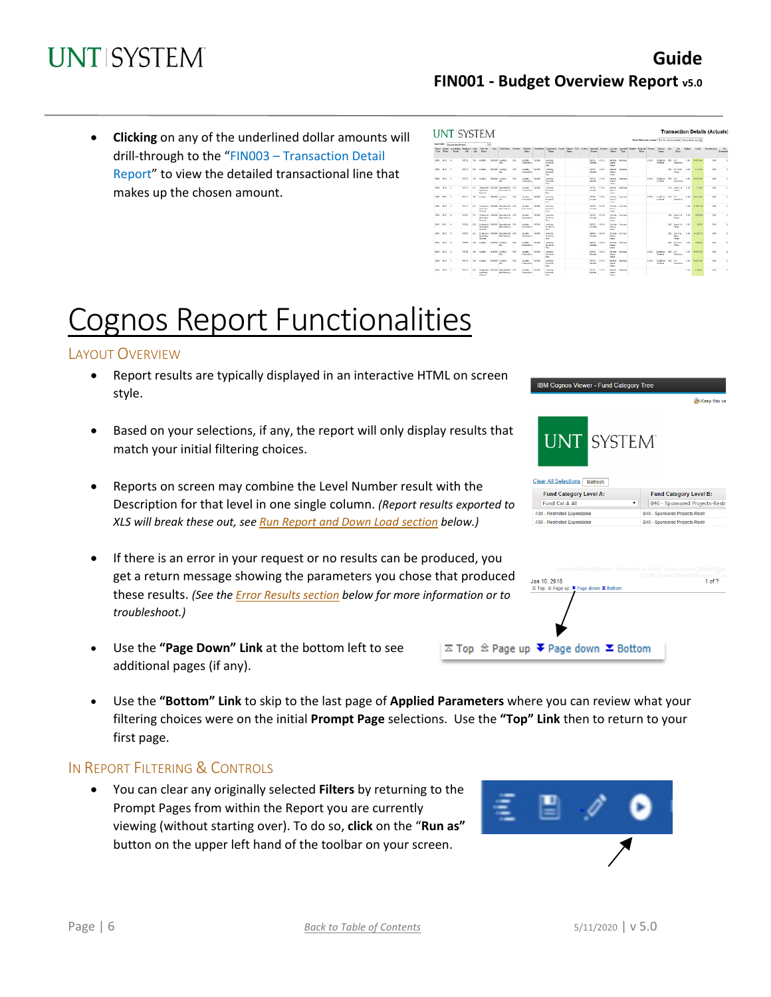• **Clicking** on any of the underlined dollar amounts will drill-through to the "FIN003 – Transaction Detail Report" to view the detailed transactional line that makes up the chosen amount.

|                   | Sett Order: Decoration Period                    |              |           | $\overline{\mathbf{v}}$                                                |              |                                                         |             |                                   |             |                                                        |              |  |                                 |             |                                                  |                    |                                                                                                                                  |        |                              |         |                                 |         |                   |            |                         |
|-------------------|--------------------------------------------------|--------------|-----------|------------------------------------------------------------------------|--------------|---------------------------------------------------------|-------------|-----------------------------------|-------------|--------------------------------------------------------|--------------|--|---------------------------------|-------------|--------------------------------------------------|--------------------|----------------------------------------------------------------------------------------------------------------------------------|--------|------------------------------|---------|---------------------------------|---------|-------------------|------------|-------------------------|
| Vasar Baginet     | Phosi Bedot Accounting Benkows<br><b>Detroit</b> | DO.          | Call      | Punci First Cat. Punci<br><b>Farmer</b>                                |              | Family at Furnish                                       |             | Fareter.<br><b>Base</b>           |             | <b>Curry</b>                                           | <b>Bears</b> |  | Diam                            |             | Descri                                           | Tios               | Department Occidentate: Project Policie POSU Activity   Account   Account   Account   Program   Purpose   Purpose   Sta<br>Date: |        | <b>Geage</b>                 |         | 2n<br>Ossor                     | Dutter! | Acket             | Examinance | Re-<br><b>Droumbran</b> |
| 2010 2010 0       |                                                  | 87722        |           | 430 Audien                                                             |              | <b>SIDOLE</b> Auditors<br>dar.                          | TC4         | Author<br>Criteratean             | 913600      | Andrey<br><b>Services</b><br>Geb-                      |              |  | 04216<br>Dawido                 | 42115       | tena-<br>Cours<br>Legge                          | <b>Branch</b>      |                                                                                                                                  | 53289  | Denketere :<br>Contract      | $-0.02$ | <b>UM</b><br>Englisher          | 6.02    | 01073-02          | 0.30       | $^{12}$                 |
| 2010 2010 11      |                                                  | MT/12        |           | 120 Audien                                                             |              | <b>BIRDER JUNEAUX</b><br>Gar.                           | 200         | <b>CAMBRO</b><br>Crientenes       | \$5,000     | Andrew<br>Sendown<br>Gw.                               |              |  | 0.4218<br>Realth                | 42485       | Dartish.<br>SENA<br>Lease                        | Seates             |                                                                                                                                  |        |                              |         | ORD LIST Does<br><b>Office</b>  | can     | $2 - 44 + 43$     | 6.30       | ×                       |
| 2019 2019 0       |                                                  | <b>NOW</b>   |           | 130 / 600 V                                                            |              | <b>BIRDER CLASSIFIED</b><br><b>DAY</b>                  | $\propto$   | Auditory.<br>Francisco            | 192400      | <b><i><u>ADSIM</u></i></b><br>Services<br><b>Links</b> |              |  | 04218<br>PARM                   | areas.      | <b>FarthA</b><br><b>SENA</b><br><b>Education</b> | <b>ENVIOLE</b>     |                                                                                                                                  | 13099  | Service 1985<br>Contract     |         | 150<br>Endelma                  | (9)     | 64 873 40         | $+10$      | $\mathbb{R}^2$          |
| 2010 1910 11      |                                                  | 81746        |           | (Verate)<br><b>Drawn</b>                                               |              | 232 December 80-301 Department 200<br><b>Households</b> |             | <b>SAMAN</b><br><b>LONGINIA</b>   | <b>TERR</b> | <b>AREK</b><br><b>Manufacturer</b><br><b>Date</b>      |              |  | 04708<br><b>DOM NO</b>          | arres.      | <b>THERE</b><br>78.95<br>Truck.                  | 120704             |                                                                                                                                  |        |                              |         | VALUAGE CH<br>19.64             | 693     | 35.81             | 8.80       | $\sim$                  |
| trees recent in   |                                                  | 31.141       |           | <b>ENT FAMBLE</b>                                                      | <b>COLES</b> | <b>ARRIVE</b><br>the-                                   | OB.         | <b>CAMBRO</b><br><b>Schooler</b>  | 10.00       | <b>August</b><br>November<br>Day:                      |              |  | <b>ISA FEB.</b><br><b>World</b> | $8.788\%$   | <b>THEFT</b><br><b>Fallen</b><br><b>Town</b>     | <b>DESCRIPTION</b> |                                                                                                                                  | 10,910 | <b>DAMAGE TRA</b><br>Cardura |         | 15m<br>Participant              | 1.81    | <b>CONTRACTOR</b> | $\sim$     | $\sim$                  |
| <b>SEE 1879 K</b> |                                                  | 33,747       | 2T'       | Or explorery<br><b>Council</b>                                         |              | Desputed SOUS Department (28)<br><b>Boardway</b>        |             | fantas.<br><b>Printern B</b>      | <b>FORE</b> | 0.0188<br>November<br>Figs.                            |              |  | ners.<br><b>DOM: N</b>          | 21124       | THE R.<br><b>Family</b><br><b>Down</b>           | <b>Branch</b>      |                                                                                                                                  |        |                              |         |                                 | 1.53    | AT BOTTO          | 4.8        | $\sim$                  |
| 288 289 6         |                                                  | ST7C         | 3T)       | <b>Download</b><br>Opening<br>Count                                    |              | <b>Shirt Garment Off</b><br>Obstrings                   |             | <b>Garden</b><br><b>D'ASKAY</b>   | <b>HALF</b> | 20888<br>Scrytche<br>Cm                                |              |  | NOTE .<br><b>Particular</b>     | <b>OTIS</b> | <b>SHEAL</b><br>Select<br><b>Symmetry</b>        | Showng             |                                                                                                                                  |        |                              |         | TSS Spiele<br><b>Bally</b>      | 5.93    | <b>COLLE</b>      | a so       | $\mathcal{O}$           |
| 285 2810 6        |                                                  | <b>STYP</b>  | <b>NW</b> | <b><i><u>Publication</u></i></b><br><b>Carry Box</b><br><b>Control</b> | <b>SINKS</b> | Oceanist 708<br><b>Observitiers</b>                     |             | <b>Garden</b><br>Driveries        | 111416      | <b>And Art</b><br>Scotting<br>Cm.                      |              |  | <b>BANK</b><br>Distalla         | 42185       | <b>Search</b><br><b>Longe</b>                    | Sokia Source       |                                                                                                                                  |        |                              |         | uss Savety<br>Fin.mr            | 1.53    | <b>STAR NO.</b>   | A MV       | $^{46}$                 |
| 2011 2010 4       |                                                  | 37752        | 333       | Onderwind<br><b>Committee</b><br><b>Denver</b>                         | <b>STORY</b> | Department 700<br>Obzeitnen                             |             | <b>Audiey</b><br><b>Printmann</b> | ersex       | Antigo<br>Senders.<br>Gan                              |              |  | DATE:<br>Dentals                | 42111       | Gason.<br>Legas                                  | Seddy Scores       |                                                                                                                                  |        |                              |         | 1000 Selection<br>ian.<br>19,84 | 6.03    | 71,326,710        | 0.30       | $\alpha$                |
| 2015 2010 1       |                                                  | <b>MTP52</b> | 400       | <b>Garden</b>                                                          |              | <b>SIDE Anders</b><br>Gar                               | 200         | Audiey<br>Cristofoss              | ettent      | Apdiga<br>Services<br>Gar.                             |              |  | 04216 -<br>Remain               | 42115       | Derbile.<br>Sauce-<br>Lease                      | Search             |                                                                                                                                  |        |                              |         | DIS LIST from<br><b>Ma</b>      | can     | 1.554.53          | 9.30       | $\mathcal{U}$           |
| 2010 2010 5       |                                                  | 87732        | 120       | Audiev                                                                 |              | \$1000 Audien-<br>ůм                                    | TOP         | Audiev<br>Orienteses              | 153400      | <b>Audien</b><br>Condose<br>Gan.                       |              |  | 04216 -<br><b>De Kirk</b>       | 42185       | <b>Sarah-</b><br><b>Same</b><br>Lease            | <b>Branch</b>      |                                                                                                                                  | 43749  | Dockstere :<br>Cordent       | $-285$  | <b>UV</b><br>Contentes          | 693     | 01073-02          | 0.30       | $\alpha$                |
| 2011 2010 0       |                                                  | 87712        | $\infty$  | <b>Audience</b>                                                        |              | <b>BIRDER JUNEAUX</b><br>Gar.                           | $_{\infty}$ | <b>Goldey</b><br>Criteratean      | \$10,000    | Andrew<br>Condition<br>Gen.                            |              |  | 04216<br><b>Dama</b>            | 42183       | <b>Service</b><br><b>Cours</b><br>Lease          | Investo            |                                                                                                                                  | 53269  | Contentero (283)<br>Control  |         | <b>LMT</b><br>Ennistma          | 6.03    | 01073-02          | 0.30       | t.                      |
| 2018 00:0 G       |                                                  | HEP12        | 302       |                                                                        |              | Designment BISOER Departments 708                       |             | <b>CAUSEY</b>                     | \$9,900     | <b>No fines</b>                                        |              |  | 0.4396                          | 20185       |                                                  | Detail Dealer      |                                                                                                                                  |        |                              |         |                                 | 693     | 3,500,000         | $+10$      | ×                       |

# Cognos Report Functionalities

### LAYOUT OVERVIEW

- Report results are typically displayed in an interactive HTML on screen style.
- Based on your selections, if any, the report will only display results that match your initial filtering choices.
- Reports on screen may combine the Level Number result with the Description for that level in one single column. *(Report results exported to XLS will break these out, see Run Report and Down Load section below.)*
- If there is an error in your request or no results can be produced, you get a return message showing the parameters you chose that produced these results. *(See th[e Error Results section](#page-6-0) below for more information or to troubleshoot.)*
- Use the **"Page Down" Link** at the bottom left to see additional pages (if any).
- Use the **"Bottom" Link** to skip to the last page of **Applied Parameters** where you can review what your filtering choices were on the initial **Prompt Page** selections. Use the **"Top" Link** then to return to your first page.

 $\overline{\sim}$  Top  $\triangle$  Page

### IN REPORT FILTERING & CONTROLS

• You can clear any originally selected **Filters** by returning to the Prompt Pages from within the Report you are currently viewing (without starting over). To do so, **click** on the "**Run as"**  button on the upper left hand of the toolbar on your screen.





| Jan 10, 2018                                                    | /content/folder[@name='University of North Texas System' /folder[@na<br>(FoaPs)Trees'//report[@name='Funo<br>1 <sub>of</sub> 2 |
|-----------------------------------------------------------------|--------------------------------------------------------------------------------------------------------------------------------|
| <b>Z Top  <sup>2</sup> Page up ₹ Page down Σ Bottom</b>         |                                                                                                                                |
|                                                                 |                                                                                                                                |
|                                                                 |                                                                                                                                |
|                                                                 |                                                                                                                                |
| up $\blacktriangleright$ Page down $\blacktriangleright$ Bottom |                                                                                                                                |

Page | 6 *[Back to Table of Contents](#page-0-0)* 5/11/2020 | v 5.0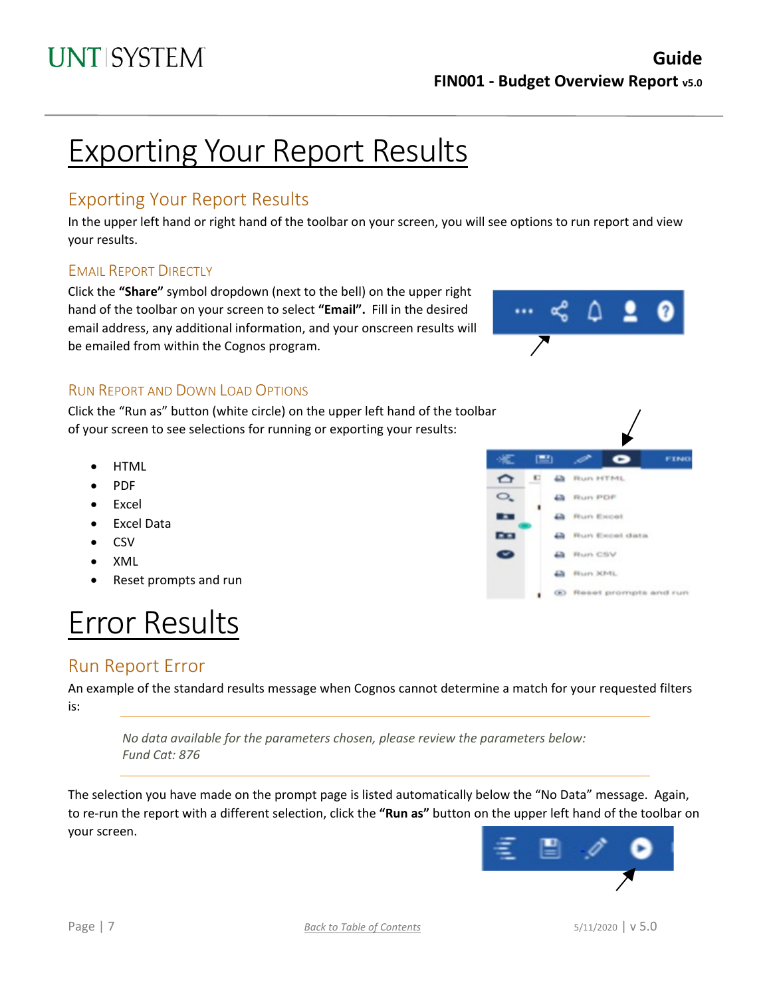# Exporting Your Report Results

## Exporting Your Report Results

In the upper left hand or right hand of the toolbar on your screen, you will see options to run report and view your results.

### EMAIL REPORT DIRECTLY

Click the **"Share"** symbol dropdown (next to the bell) on the upper right hand of the toolbar on your screen to select **"Email".** Fill in the desired email address, any additional information, and your onscreen results will be emailed from within the Cognos program.



c

(6) Reset prompts and run

**Run HTML** 

**A** Run Excel data Run CSV **La** Run XML

**A** Run PDF

**D** Run Excel

 $\equiv$ 

Ð

 $\mathbf{C}$ 

 $\sigma$ 

 $\circ$ .

Ŧ

**AR** 

FINO

### RUN REPORT AND DOWN LOAD OPTIONS

Click the "Run as" button (white circle) on the upper left hand of the toolbar of your screen to see selections for running or exporting your results:

- **HTML**
- PDF
- **Excel**
- Excel Data
- CSV
- XML
- Reset prompts and run

# Error Results

## <span id="page-6-0"></span>Run Report Error

An example of the standard results message when Cognos cannot determine a match for your requested filters is:

*No data available for the parameters chosen, please review the parameters below: Fund Cat: 876*

The selection you have made on the prompt page is listed automatically below the "No Data" message. Again, to re-run the report with a different selection, click the **"Run as"** button on the upper left hand of the toolbar on your screen.